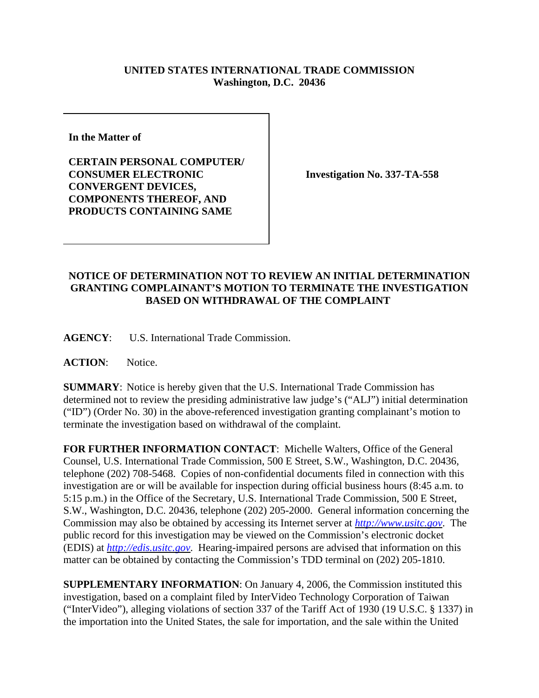## **UNITED STATES INTERNATIONAL TRADE COMMISSION Washington, D.C. 20436**

**In the Matter of** 

**CERTAIN PERSONAL COMPUTER/ CONSUMER ELECTRONIC CONVERGENT DEVICES, COMPONENTS THEREOF, AND PRODUCTS CONTAINING SAME**

**Investigation No. 337-TA-558**

## **NOTICE OF DETERMINATION NOT TO REVIEW AN INITIAL DETERMINATION GRANTING COMPLAINANT'S MOTION TO TERMINATE THE INVESTIGATION BASED ON WITHDRAWAL OF THE COMPLAINT**

**AGENCY**: U.S. International Trade Commission.

ACTION: Notice.

**SUMMARY**: Notice is hereby given that the U.S. International Trade Commission has determined not to review the presiding administrative law judge's ("ALJ") initial determination ("ID") (Order No. 30) in the above-referenced investigation granting complainant's motion to terminate the investigation based on withdrawal of the complaint.

**FOR FURTHER INFORMATION CONTACT**: Michelle Walters, Office of the General Counsel, U.S. International Trade Commission, 500 E Street, S.W., Washington, D.C. 20436, telephone (202) 708-5468. Copies of non-confidential documents filed in connection with this investigation are or will be available for inspection during official business hours (8:45 a.m. to 5:15 p.m.) in the Office of the Secretary, U.S. International Trade Commission, 500 E Street, S.W., Washington, D.C. 20436, telephone (202) 205-2000. General information concerning the Commission may also be obtained by accessing its Internet server at *http://www.usitc.gov*. The public record for this investigation may be viewed on the Commission's electronic docket (EDIS) at *http://edis.usitc.gov*. Hearing-impaired persons are advised that information on this matter can be obtained by contacting the Commission's TDD terminal on (202) 205-1810.

**SUPPLEMENTARY INFORMATION**: On January 4, 2006, the Commission instituted this investigation, based on a complaint filed by InterVideo Technology Corporation of Taiwan ("InterVideo"), alleging violations of section 337 of the Tariff Act of 1930 (19 U.S.C. § 1337) in the importation into the United States, the sale for importation, and the sale within the United